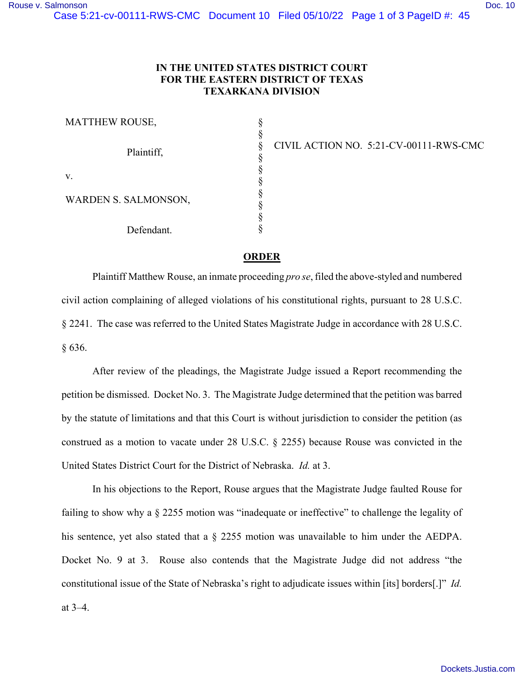## **IN THE UNITED STATES DISTRICT COURT FOR THE EASTERN DISTRICT OF TEXAS TEXARKANA DIVISION**

| MATTHEW ROUSE,       |  |
|----------------------|--|
| Plaintiff,           |  |
|                      |  |
|                      |  |
| v.                   |  |
|                      |  |
| WARDEN S. SALMONSON, |  |
|                      |  |
|                      |  |
| Defendant.           |  |

CIVIL ACTION NO. 5:21-CV-00111-RWS-CMC

## **ORDER**

Plaintiff Matthew Rouse, an inmate proceeding *pro se*, filed the above-styled and numbered civil action complaining of alleged violations of his constitutional rights, pursuant to 28 U.S.C. § 2241. The case was referred to the United States Magistrate Judge in accordance with 28 U.S.C. § 636.

After review of the pleadings, the Magistrate Judge issued a Report recommending the petition be dismissed. Docket No. 3. The Magistrate Judge determined that the petition was barred by the statute of limitations and that this Court is without jurisdiction to consider the petition (as construed as a motion to vacate under 28 U.S.C. § 2255) because Rouse was convicted in the United States District Court for the District of Nebraska. *Id.* at 3.

In his objections to the Report, Rouse argues that the Magistrate Judge faulted Rouse for failing to show why a § 2255 motion was "inadequate or ineffective" to challenge the legality of his sentence, yet also stated that a § 2255 motion was unavailable to him under the AEDPA. Docket No. 9 at 3. Rouse also contends that the Magistrate Judge did not address "the constitutional issue of the State of Nebraska's right to adjudicate issues within [its] borders[.]" *Id.* at 3–4.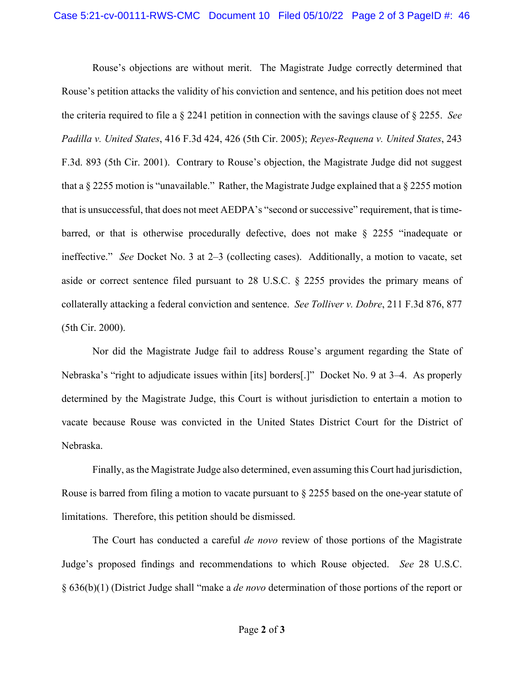Rouse's objections are without merit. The Magistrate Judge correctly determined that Rouse's petition attacks the validity of his conviction and sentence, and his petition does not meet the criteria required to file a § 2241 petition in connection with the savings clause of § 2255. *See Padilla v. United States*, 416 F.3d 424, 426 (5th Cir. 2005); *Reyes-Requena v. United States*, 243 F.3d. 893 (5th Cir. 2001). Contrary to Rouse's objection, the Magistrate Judge did not suggest that a § 2255 motion is "unavailable." Rather, the Magistrate Judge explained that a § 2255 motion that is unsuccessful, that does not meet AEDPA's "second or successive" requirement, that is timebarred, or that is otherwise procedurally defective, does not make  $\S$  2255 "inadequate or ineffective." *See* Docket No. 3 at 2–3 (collecting cases). Additionally, a motion to vacate, set aside or correct sentence filed pursuant to 28 U.S.C. § 2255 provides the primary means of collaterally attacking a federal conviction and sentence. *See Tolliver v. Dobre*, 211 F.3d 876, 877 (5th Cir. 2000).

Nor did the Magistrate Judge fail to address Rouse's argument regarding the State of Nebraska's "right to adjudicate issues within [its] borders[.]" Docket No. 9 at 3–4. As properly determined by the Magistrate Judge, this Court is without jurisdiction to entertain a motion to vacate because Rouse was convicted in the United States District Court for the District of Nebraska.

Finally, as the Magistrate Judge also determined, even assuming this Court had jurisdiction, Rouse is barred from filing a motion to vacate pursuant to § 2255 based on the one-year statute of limitations. Therefore, this petition should be dismissed.

The Court has conducted a careful *de novo* review of those portions of the Magistrate Judge's proposed findings and recommendations to which Rouse objected. *See* 28 U.S.C. § 636(b)(1) (District Judge shall "make a *de novo* determination of those portions of the report or